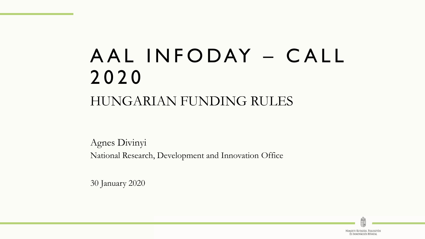# A A L IN FODAY – CALL 2020 HUNGARIAN FUNDING RULES

Agnes Divinyi National Research, Development and Innovation Office

30 January 2020

NEMZETI KUTATÁSI, FEJLESZTÉSI ÉS INNOVÁCIÓS HIVATAL

Ė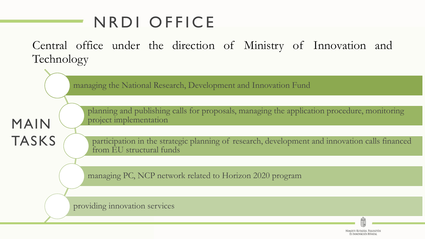## N R D I OFFICE

Central office under the direction of Ministry of Innovation and Technology

managing the National Research, Development and Innovation Fund

planning and publishing calls for proposals, managing the application procedure, monitoring project implementation

participation in the strategic planning of research, development and innovation calls financed from EU structural funds

managing PC, NCP network related to Horizon 2020 program

providing innovation services

MAIN

TASKS

Nemzeti Kutatási. Feileszté ÉS INNOVÁCIÓS HIVATAL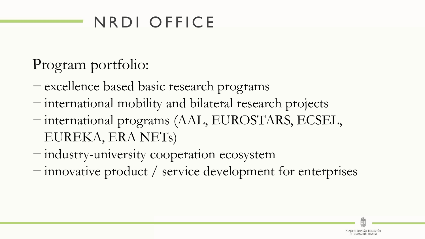## N R D I OFFICE

### Program portfolio:

- − excellence based basic research programs
- − international mobility and bilateral research projects
- − international programs (AAL, EUROSTARS, ECSEL, EUREKA, ERA NETs)
- − industry-university cooperation ecosystem
- − innovative product / service development for enterprises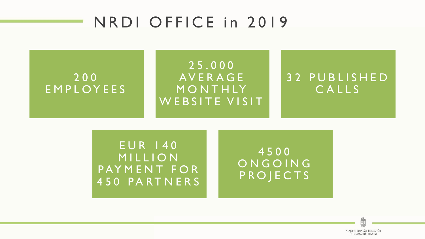### N R D I O F F I C E in 2019

#### 200 E M P L O Y E E S

#### 2 5 . 0 0 0 **AVERAGE MONTHLY** WEBSITE VISIT

#### 3 2 P U B L I S H E D CALLS

E U R 1 4 0 **MILLION** PAYMENT FOR 450 PARTNERS

4500 ON GOING **PROJECTS** 

> NEMZETI KUTATÁSI. FEILESZTÉSI ÉS INNOVÁCIÓS HIVATAL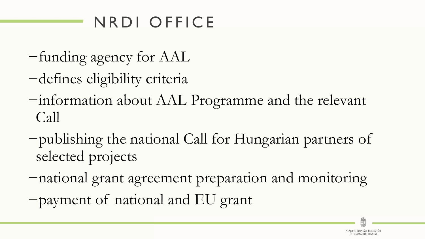## N R D I OFFICE

- −funding agency for AAL
- −defines eligibility criteria
- −information about AAL Programme and the relevant Call
- −publishing the national Call for Hungarian partners of selected projects
- −national grant agreement preparation and monitoring −payment of national and EU grant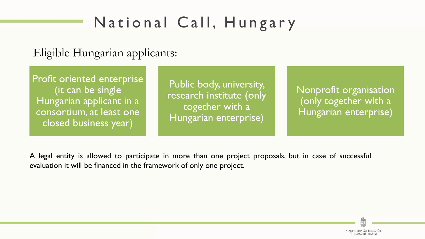#### Eligible Hungarian applicants:

Profit oriented enterprise (it can be single Hungarian applicant in a consortium, at least one closed business year)

Public body, university, research institute (only together with a Hungarian enterprise)

Nonprofit organisation (only together with a Hungarian enterprise)

A legal entity is allowed to participate in more than one project proposals, but in case of successful evaluation it will be financed in the framework of only one project.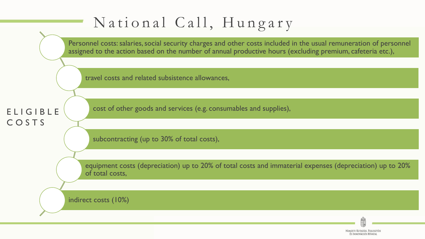

Nemzeti Kutatási, Fejlesztés ÉS INNOVÁCIÓS HIVATAL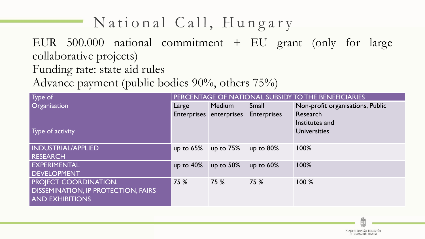EUR 500.000 national commitment + EU grant (only for large collaborative projects) Funding rate: state aid rules

Advance payment (public bodies 90%, others 75%)

| Type of                                    | PERCENTAGE OF NATIONAL SUBSIDY TO THE BENEFICIARIES |                         |                    |                                  |
|--------------------------------------------|-----------------------------------------------------|-------------------------|--------------------|----------------------------------|
| <b>Organisation</b>                        | Large                                               | Medium                  | Small              | Non-profit organisations, Public |
|                                            |                                                     | Enterprises enterprises | <b>Enterprises</b> | Research                         |
|                                            |                                                     |                         |                    | Institutes and                   |
| Type of activity                           |                                                     |                         |                    | <b>Universities</b>              |
|                                            |                                                     |                         |                    |                                  |
| <b>INDUSTRIAL/APPLIED</b>                  | up to $65\%$                                        | up to $75%$             | up to $80\%$       | 100%                             |
| RESEARCH                                   |                                                     |                         |                    |                                  |
| <b>EXPERIMENTAL</b>                        | up to $40\%$                                        | up to $50\%$            | up to $60\%$       | 100%                             |
| <b>DEVELOPMENT</b>                         |                                                     |                         |                    |                                  |
| <b>PROJECT COORDINATION,</b>               | 75 %                                                | 75 %                    | 75 %               | 100%                             |
| <b>DISSEMINATION, IP PROTECTION, FAIRS</b> |                                                     |                         |                    |                                  |
| <b>AND EXHIBITIONS</b>                     |                                                     |                         |                    |                                  |
|                                            |                                                     |                         |                    |                                  |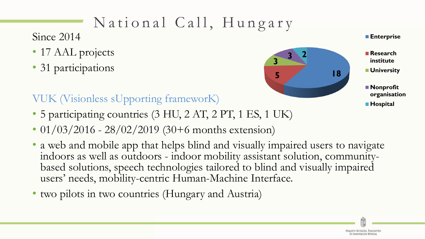Since 2014

- 17 AAL projects
- 31 participations



**Enterprise**

**Research institute University**

**Nonprofit organisation**

**Hospital**

#### VUK (Visionless sUpporting frameworK)

- 5 participating countries (3 HU, 2 AT, 2 PT, 1 ES, 1 UK)
- 01/03/2016 28/02/2019 (30+6 months extension)
- a web and mobile app that helps blind and visually impaired users to navigate indoors as well as outdoors - indoor mobility assistant solution, communitybased solutions, speech technologies tailored to blind and visually impaired users' needs, mobility-centric Human-Machine Interface.
- two pilots in two countries (Hungary and Austria)